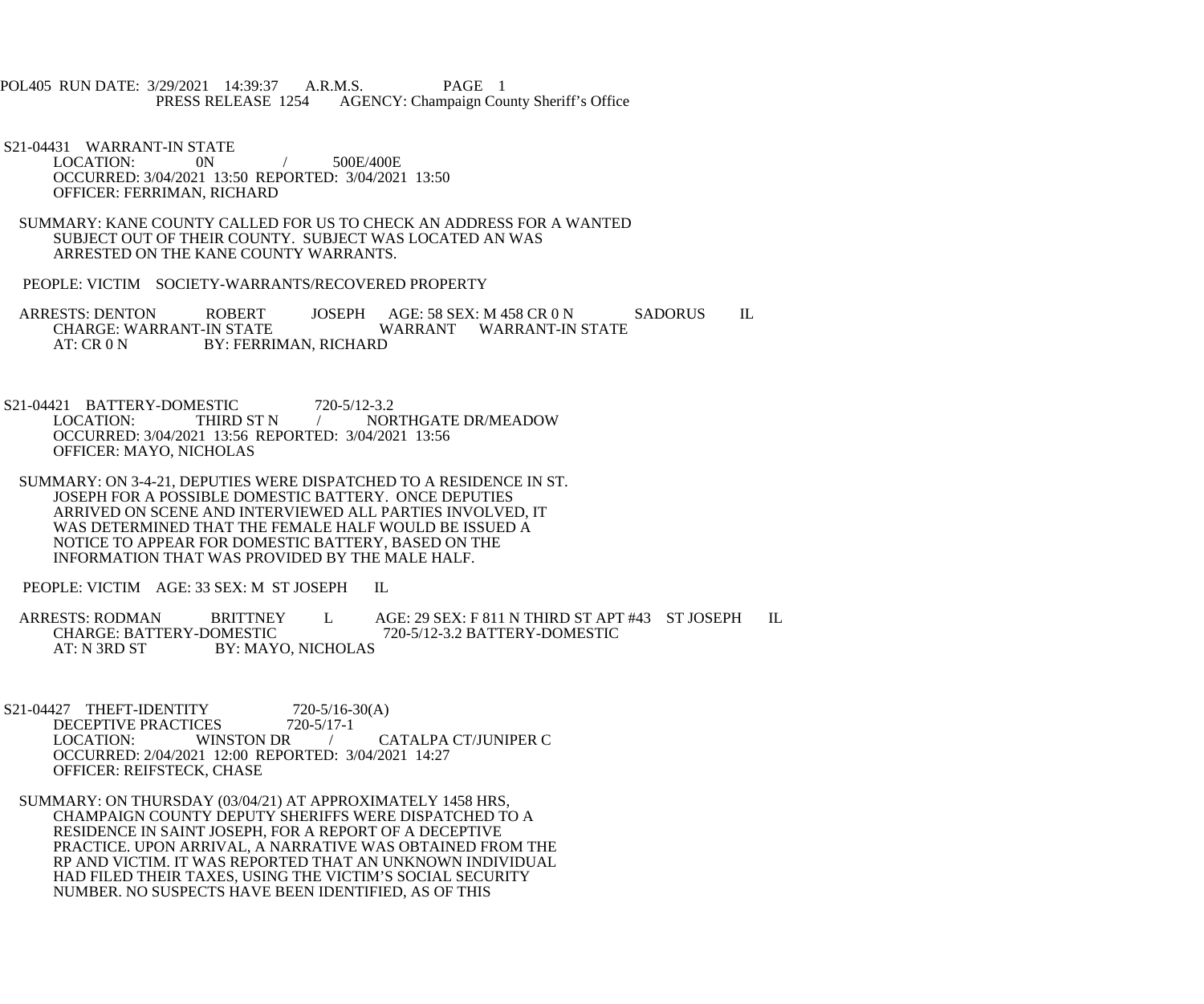POL405 RUN DATE: 3/29/2021 14:39:37 A.R.M.S. PAGE 1<br>PRESS RELEASE 1254 AGENCY: Champaign Cou AGENCY: Champaign County Sheriff's Office

 S21-04431 WARRANT-IN STATE LOCATION: 0N / 500E/400E OCCURRED: 3/04/2021 13:50 REPORTED: 3/04/2021 13:50 OFFICER: FERRIMAN, RICHARD

 SUMMARY: KANE COUNTY CALLED FOR US TO CHECK AN ADDRESS FOR A WANTED SUBJECT OUT OF THEIR COUNTY. SUBJECT WAS LOCATED AN WAS ARRESTED ON THE KANE COUNTY WARRANTS.

PEOPLE: VICTIM SOCIETY-WARRANTS/RECOVERED PROPERTY

ARRESTS: DENTON ROBERT JOSEPH AGE: 58 SEX: M 458 CR 0 N SADORUS IL<br>CHARGE: WARRANT-IN STATE WARRANT WARRANT-IN STATE WARRANT WARRANT-IN STATE AT: CR 0 N BY: FERRIMAN, RICHARD

S21-04421 BATTERY-DOMESTIC 720-5/12-3.2<br>LOCATION: THIRD ST N / NOR / NORTHGATE DR/MEADOW OCCURRED: 3/04/2021 13:56 REPORTED: 3/04/2021 13:56 OFFICER: MAYO, NICHOLAS

 SUMMARY: ON 3-4-21, DEPUTIES WERE DISPATCHED TO A RESIDENCE IN ST. JOSEPH FOR A POSSIBLE DOMESTIC BATTERY. ONCE DEPUTIES ARRIVED ON SCENE AND INTERVIEWED ALL PARTIES INVOLVED, IT WAS DETERMINED THAT THE FEMALE HALF WOULD BE ISSUED A NOTICE TO APPEAR FOR DOMESTIC BATTERY, BASED ON THE INFORMATION THAT WAS PROVIDED BY THE MALE HALF.

PEOPLE: VICTIM AGE: 33 SEX: M ST JOSEPH IL

ARRESTS: RODMAN BRITTNEY L AGE: 29 SEX: F 811 N THIRD ST APT #43 ST JOSEPH IL<br>CHARGE: BATTERY-DOMESTIC 720-5/12-3.2 BATTERY-DOMESTIC CHARGE: BATTERY-DOMESTIC 720-5/12-3.2 BATTERY-DOMESTIC<br>AT: N 3RD ST BY: MAYO, NICHOLAS BY: MAYO, NICHOLAS

S21-04427 THEFT-IDENTITY 720-5/16-30(A)<br>DECEPTIVE PRACTICES 720-5/17-1 DECEPTIVE PRACTICES 7<br>LOCATION: WINSTON DR CATALPA CT/JUNIPER C OCCURRED: 2/04/2021 12:00 REPORTED: 3/04/2021 14:27 OFFICER: REIFSTECK, CHASE

 SUMMARY: ON THURSDAY (03/04/21) AT APPROXIMATELY 1458 HRS, CHAMPAIGN COUNTY DEPUTY SHERIFFS WERE DISPATCHED TO A RESIDENCE IN SAINT JOSEPH, FOR A REPORT OF A DECEPTIVE PRACTICE. UPON ARRIVAL, A NARRATIVE WAS OBTAINED FROM THE RP AND VICTIM. IT WAS REPORTED THAT AN UNKNOWN INDIVIDUAL HAD FILED THEIR TAXES, USING THE VICTIM'S SOCIAL SECURITY NUMBER. NO SUSPECTS HAVE BEEN IDENTIFIED, AS OF THIS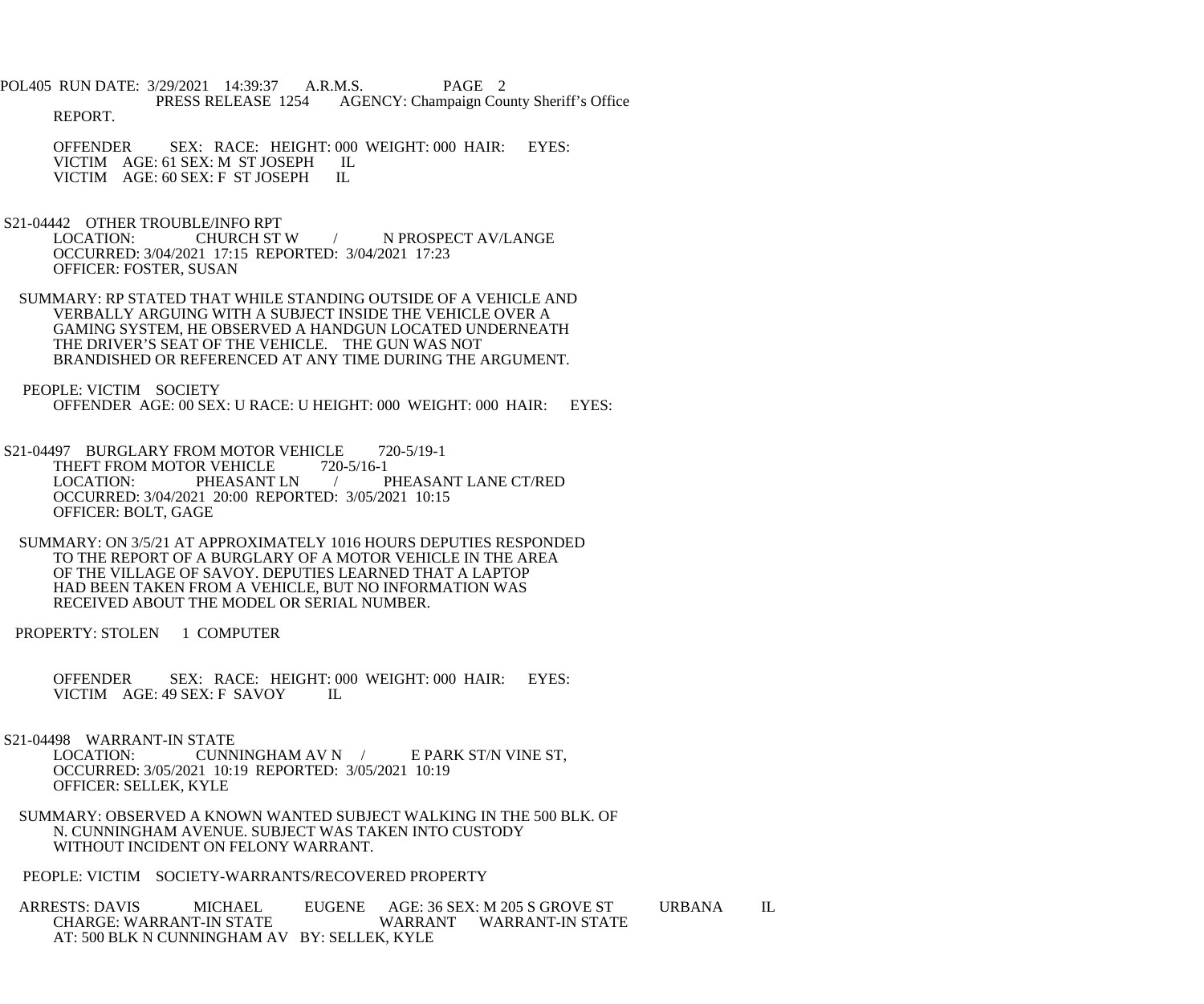POL405 RUN DATE: 3/29/2021 14:39:37 A.R.M.S. PAGE 2 PRESS RELEASE 1254 AGENCY: Champaign County Sheriff's Office REPORT.

OFFENDER SEX: RACE: HEIGHT: 000 WEIGHT: 000 HAIR: EYES: VICTIM AGE: 61 SEX: M ST JOSEPH IL VICTIM AGE: 61 SEX: M ST JOSEPH IL<br>VICTIM AGE: 60 SEX: F ST JOSEPH IL VICTIM AGE: 60 SEX: F ST JOSEPH

S21-04442 OTHER TROUBLE/INFO RPT<br>LOCATION: CHURCH ST W

/ N PROSPECT AV/LANGE OCCURRED: 3/04/2021 17:15 REPORTED: 3/04/2021 17:23 OFFICER: FOSTER, SUSAN

 SUMMARY: RP STATED THAT WHILE STANDING OUTSIDE OF A VEHICLE AND VERBALLY ARGUING WITH A SUBJECT INSIDE THE VEHICLE OVER A GAMING SYSTEM, HE OBSERVED A HANDGUN LOCATED UNDERNEATH THE DRIVER'S SEAT OF THE VEHICLE. THE GUN WAS NOT BRANDISHED OR REFERENCED AT ANY TIME DURING THE ARGUMENT.

 PEOPLE: VICTIM SOCIETY OFFENDER AGE: 00 SEX: U RACE: U HEIGHT: 000 WEIGHT: 000 HAIR: EYES:

- S21-04497 BURGLARY FROM MOTOR VEHICLE 720-5/19-1<br>THEFT FROM MOTOR VEHICLE 720-5/16-1 THEFT FROM MOTOR VEHICLE<br>LOCATION: PHEASANT LN / PHEASANT LANE CT/RED OCCURRED: 3/04/2021 20:00 REPORTED: 3/05/2021 10:15 OFFICER: BOLT, GAGE
- SUMMARY: ON 3/5/21 AT APPROXIMATELY 1016 HOURS DEPUTIES RESPONDED TO THE REPORT OF A BURGLARY OF A MOTOR VEHICLE IN THE AREA OF THE VILLAGE OF SAVOY. DEPUTIES LEARNED THAT A LAPTOP HAD BEEN TAKEN FROM A VEHICLE, BUT NO INFORMATION WAS RECEIVED ABOUT THE MODEL OR SERIAL NUMBER.

PROPERTY: STOLEN 1 COMPUTER

 OFFENDER SEX: RACE: HEIGHT: 000 WEIGHT: 000 HAIR: EYES: VICTIM AGE: 49 SEX: F SAVOY IL

 S21-04498 WARRANT-IN STATE LOCATION: CUNNINGHAM AV N / E PARK ST/N VINE ST,

 OCCURRED: 3/05/2021 10:19 REPORTED: 3/05/2021 10:19 OFFICER: SELLEK, KYLE

 SUMMARY: OBSERVED A KNOWN WANTED SUBJECT WALKING IN THE 500 BLK. OF N. CUNNINGHAM AVENUE. SUBJECT WAS TAKEN INTO CUSTODY WITHOUT INCIDENT ON FELONY WARRANT.

PEOPLE: VICTIM SOCIETY-WARRANTS/RECOVERED PROPERTY

ARRESTS: DAVIS MICHAEL EUGENE AGE: 36 SEX: M 205 S GROVE ST URBANA IL CHARGE: WARRANT WARRANT WARRANT-IN STATE WARRANT WARRANT-IN STATE AT: 500 BLK N CUNNINGHAM AV BY: SELLEK, KYLE